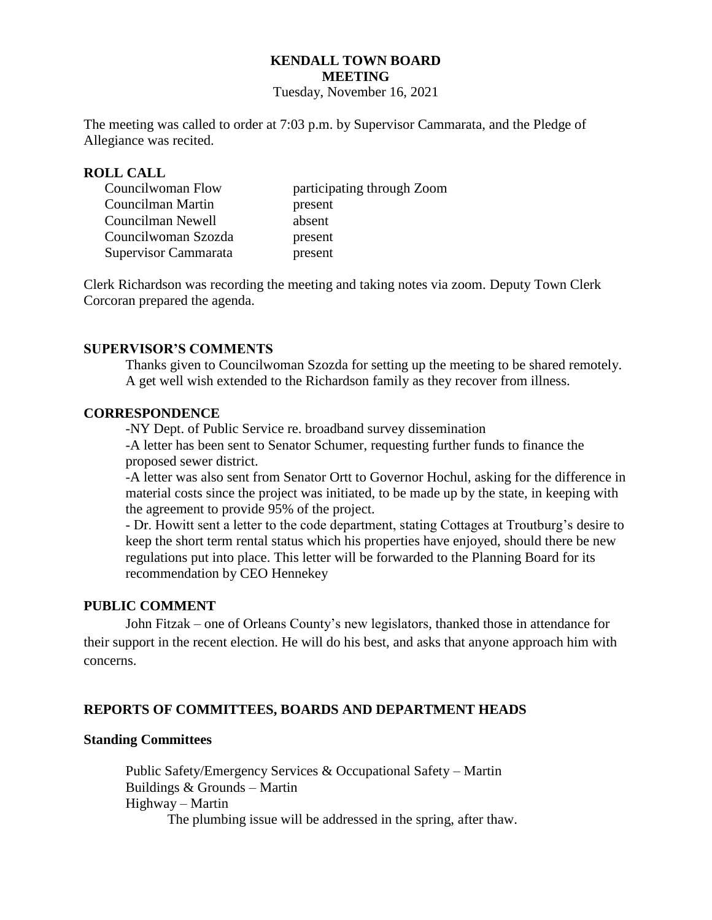# **KENDALL TOWN BOARD MEETING**

Tuesday, November 16, 2021

The meeting was called to order at 7:03 p.m. by Supervisor Cammarata, and the Pledge of Allegiance was recited.

#### **ROLL CALL**

| Councilwoman Flow    | participating through Zoom |  |
|----------------------|----------------------------|--|
| Councilman Martin    | present                    |  |
| Councilman Newell    | absent                     |  |
| Councilwoman Szozda  | present                    |  |
| Supervisor Cammarata | present                    |  |

Clerk Richardson was recording the meeting and taking notes via zoom. Deputy Town Clerk Corcoran prepared the agenda.

### **SUPERVISOR'S COMMENTS**

Thanks given to Councilwoman Szozda for setting up the meeting to be shared remotely. A get well wish extended to the Richardson family as they recover from illness.

#### **CORRESPONDENCE**

-NY Dept. of Public Service re. broadband survey dissemination

-A letter has been sent to Senator Schumer, requesting further funds to finance the proposed sewer district.

-A letter was also sent from Senator Ortt to Governor Hochul, asking for the difference in material costs since the project was initiated, to be made up by the state, in keeping with the agreement to provide 95% of the project.

- Dr. Howitt sent a letter to the code department, stating Cottages at Troutburg's desire to keep the short term rental status which his properties have enjoyed, should there be new regulations put into place. This letter will be forwarded to the Planning Board for its recommendation by CEO Hennekey

### **PUBLIC COMMENT**

John Fitzak – one of Orleans County's new legislators, thanked those in attendance for their support in the recent election. He will do his best, and asks that anyone approach him with concerns.

### **REPORTS OF COMMITTEES, BOARDS AND DEPARTMENT HEADS**

#### **Standing Committees**

 Public Safety/Emergency Services & Occupational Safety – Martin Buildings & Grounds – Martin Highway – Martin The plumbing issue will be addressed in the spring, after thaw.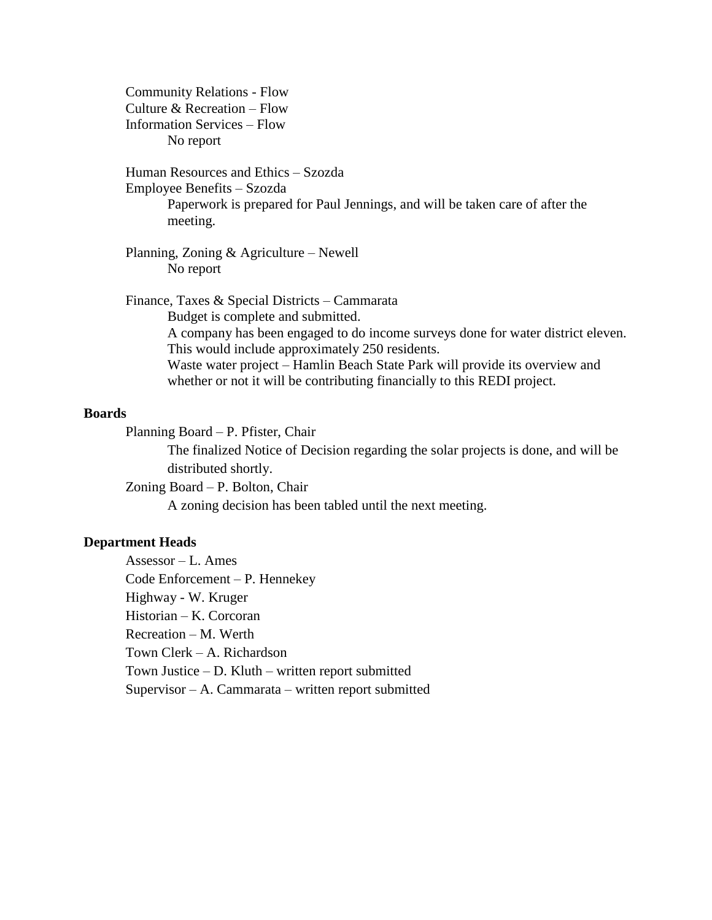Community Relations - Flow Culture & Recreation – Flow Information Services – Flow No report

Human Resources and Ethics – Szozda

Employee Benefits – Szozda

Paperwork is prepared for Paul Jennings, and will be taken care of after the meeting.

Planning, Zoning & Agriculture – Newell No report

Finance, Taxes & Special Districts – Cammarata Budget is complete and submitted. A company has been engaged to do income surveys done for water district eleven. This would include approximately 250 residents. Waste water project – Hamlin Beach State Park will provide its overview and whether or not it will be contributing financially to this REDI project.

#### **Boards**

Planning Board – P. Pfister, Chair

The finalized Notice of Decision regarding the solar projects is done, and will be distributed shortly.

Zoning Board – P. Bolton, Chair

A zoning decision has been tabled until the next meeting.

### **Department Heads**

Assessor – L. Ames Code Enforcement – P. Hennekey Highway - W. Kruger Historian – K. Corcoran Recreation – M. Werth Town Clerk – A. Richardson Town Justice – D. Kluth – written report submitted Supervisor – A. Cammarata – written report submitted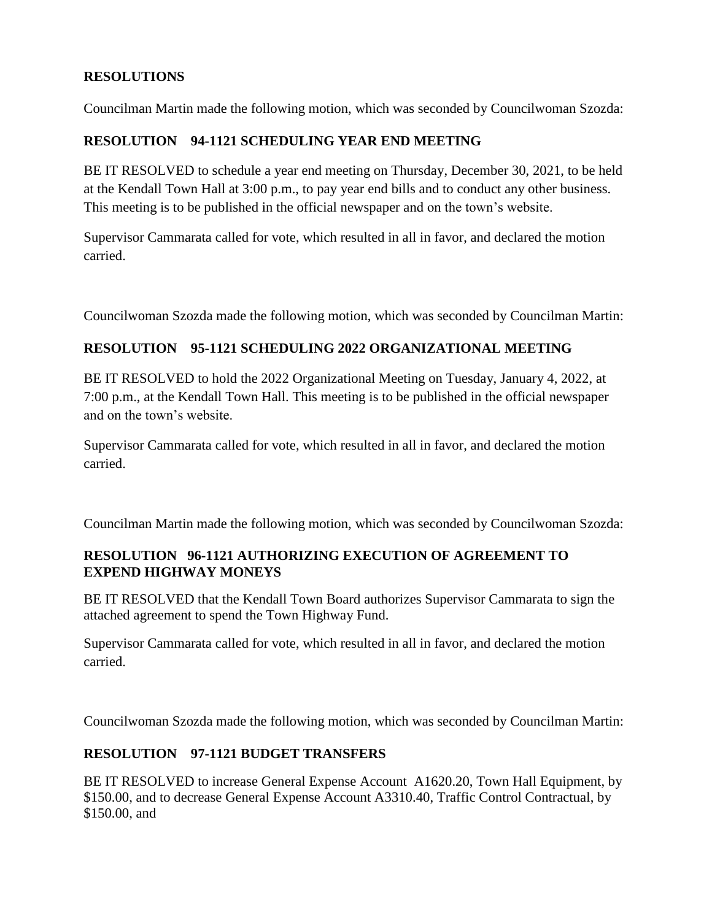# **RESOLUTIONS**

Councilman Martin made the following motion, which was seconded by Councilwoman Szozda:

# **RESOLUTION 94-1121 SCHEDULING YEAR END MEETING**

BE IT RESOLVED to schedule a year end meeting on Thursday, December 30, 2021, to be held at the Kendall Town Hall at 3:00 p.m., to pay year end bills and to conduct any other business. This meeting is to be published in the official newspaper and on the town's website.

Supervisor Cammarata called for vote, which resulted in all in favor, and declared the motion carried.

Councilwoman Szozda made the following motion, which was seconded by Councilman Martin:

# **RESOLUTION 95-1121 SCHEDULING 2022 ORGANIZATIONAL MEETING**

BE IT RESOLVED to hold the 2022 Organizational Meeting on Tuesday, January 4, 2022, at 7:00 p.m., at the Kendall Town Hall. This meeting is to be published in the official newspaper and on the town's website.

Supervisor Cammarata called for vote, which resulted in all in favor, and declared the motion carried.

Councilman Martin made the following motion, which was seconded by Councilwoman Szozda:

### **RESOLUTION 96-1121 AUTHORIZING EXECUTION OF AGREEMENT TO EXPEND HIGHWAY MONEYS**

BE IT RESOLVED that the Kendall Town Board authorizes Supervisor Cammarata to sign the attached agreement to spend the Town Highway Fund.

Supervisor Cammarata called for vote, which resulted in all in favor, and declared the motion carried.

Councilwoman Szozda made the following motion, which was seconded by Councilman Martin:

## **RESOLUTION 97-1121 BUDGET TRANSFERS**

BE IT RESOLVED to increase General Expense Account A1620.20, Town Hall Equipment, by \$150.00, and to decrease General Expense Account A3310.40, Traffic Control Contractual, by \$150.00, and